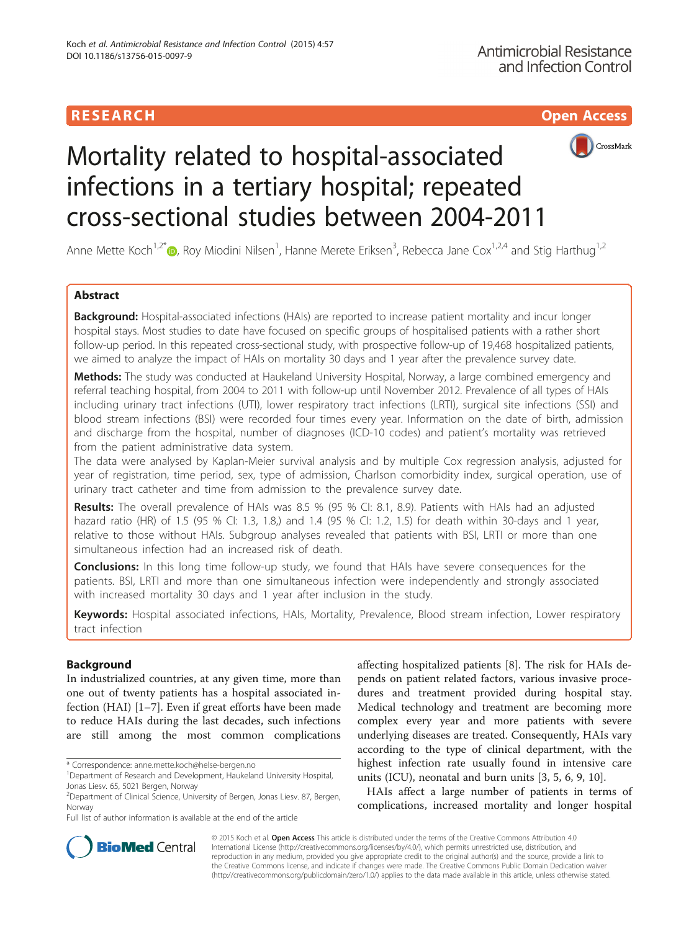

# Mortality related to hospital-associated infections in a tertiary hospital; repeated cross-sectional studies between 2004-2011

Anne Mette Koch<sup>1,2[\\*](http://orcid.org/0000-0001-7550-0374)</sup> <sub>(b</sub>, Roy Miodini Nilsen<sup>1</sup>, Hanne Merete Eriksen<sup>3</sup>, Rebecca Jane Cox<sup>1,2,4</sup> and Stig Harthug<sup>1,2</sup>

# Abstract

Background: Hospital-associated infections (HAIs) are reported to increase patient mortality and incur longer hospital stays. Most studies to date have focused on specific groups of hospitalised patients with a rather short follow-up period. In this repeated cross-sectional study, with prospective follow-up of 19,468 hospitalized patients, we aimed to analyze the impact of HAIs on mortality 30 days and 1 year after the prevalence survey date.

Methods: The study was conducted at Haukeland University Hospital, Norway, a large combined emergency and referral teaching hospital, from 2004 to 2011 with follow-up until November 2012. Prevalence of all types of HAIs including urinary tract infections (UTI), lower respiratory tract infections (LRTI), surgical site infections (SSI) and blood stream infections (BSI) were recorded four times every year. Information on the date of birth, admission and discharge from the hospital, number of diagnoses (ICD-10 codes) and patient's mortality was retrieved from the patient administrative data system.

The data were analysed by Kaplan-Meier survival analysis and by multiple Cox regression analysis, adjusted for year of registration, time period, sex, type of admission, Charlson comorbidity index, surgical operation, use of urinary tract catheter and time from admission to the prevalence survey date.

Results: The overall prevalence of HAIs was 8.5 % (95 % CI: 8.1, 8.9). Patients with HAIs had an adjusted hazard ratio (HR) of 1.5 (95 % CI: 1.3, 1.8,) and 1.4 (95 % CI: 1.2, 1.5) for death within 30-days and 1 year, relative to those without HAIs. Subgroup analyses revealed that patients with BSI, LRTI or more than one simultaneous infection had an increased risk of death.

**Conclusions:** In this long time follow-up study, we found that HAIs have severe consequences for the patients. BSI, LRTI and more than one simultaneous infection were independently and strongly associated with increased mortality 30 days and 1 year after inclusion in the study.

Keywords: Hospital associated infections, HAIs, Mortality, Prevalence, Blood stream infection, Lower respiratory tract infection

## Background

In industrialized countries, at any given time, more than one out of twenty patients has a hospital associated infection (HAI) [[1](#page-6-0)–[7\]](#page-6-0). Even if great efforts have been made to reduce HAIs during the last decades, such infections are still among the most common complications

Full list of author information is available at the end of the article

affecting hospitalized patients [[8\]](#page-6-0). The risk for HAIs depends on patient related factors, various invasive procedures and treatment provided during hospital stay. Medical technology and treatment are becoming more complex every year and more patients with severe underlying diseases are treated. Consequently, HAIs vary according to the type of clinical department, with the highest infection rate usually found in intensive care units (ICU), neonatal and burn units [[3](#page-6-0), [5](#page-6-0), [6](#page-6-0), [9](#page-6-0), [10](#page-6-0)].

HAIs affect a large number of patients in terms of complications, increased mortality and longer hospital



© 2015 Koch et al. Open Access This article is distributed under the terms of the Creative Commons Attribution 4.0 International License [\(http://creativecommons.org/licenses/by/4.0/](http://creativecommons.org/licenses/by/4.0/)), which permits unrestricted use, distribution, and reproduction in any medium, provided you give appropriate credit to the original author(s) and the source, provide a link to the Creative Commons license, and indicate if changes were made. The Creative Commons Public Domain Dedication waiver [\(http://creativecommons.org/publicdomain/zero/1.0/](http://creativecommons.org/publicdomain/zero/1.0/)) applies to the data made available in this article, unless otherwise stated.

<sup>\*</sup> Correspondence: [anne.mette.koch@helse-bergen.no](mailto:anne.mette.koch@helse-bergen.no) <sup>1</sup>

<sup>&</sup>lt;sup>1</sup>Department of Research and Development, Haukeland University Hospital, Jonas Liesv. 65, 5021 Bergen, Norway

<sup>2</sup> Department of Clinical Science, University of Bergen, Jonas Liesv. 87, Bergen, Norway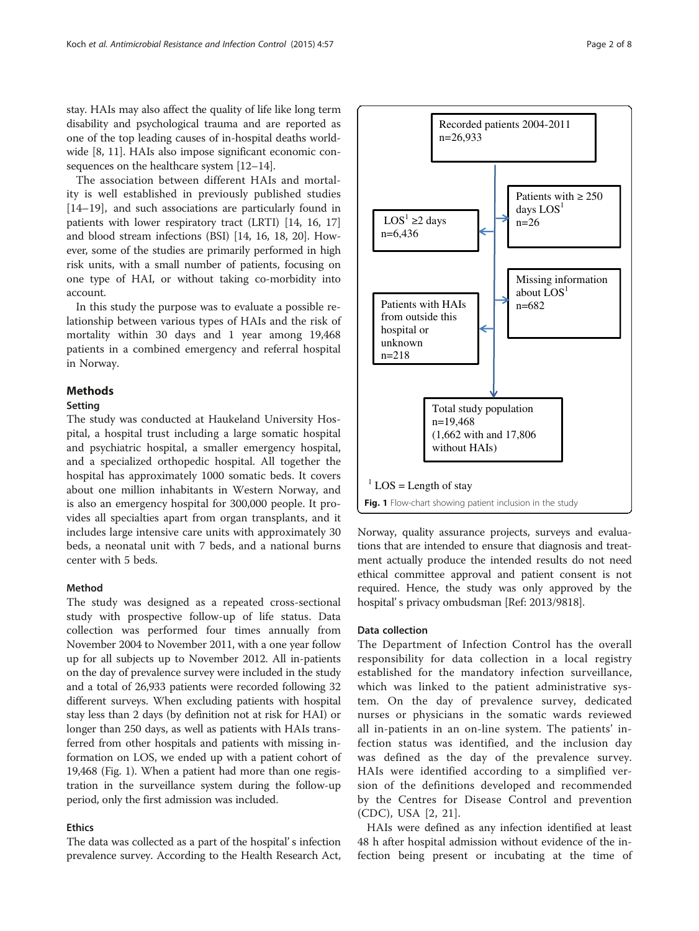<span id="page-1-0"></span>stay. HAIs may also affect the quality of life like long term disability and psychological trauma and are reported as one of the top leading causes of in-hospital deaths worldwide [[8, 11\]](#page-6-0). HAIs also impose significant economic consequences on the healthcare system [[12](#page-6-0)–[14\]](#page-7-0).

The association between different HAIs and mortality is well established in previously published studies [[14](#page-7-0)–[19\]](#page-7-0), and such associations are particularly found in patients with lower respiratory tract (LRTI) [[14](#page-7-0), [16](#page-7-0), [17](#page-7-0)] and blood stream infections (BSI) [\[14](#page-7-0), [16, 18](#page-7-0), [20\]](#page-7-0). However, some of the studies are primarily performed in high risk units, with a small number of patients, focusing on one type of HAI, or without taking co-morbidity into account.

In this study the purpose was to evaluate a possible relationship between various types of HAIs and the risk of mortality within 30 days and 1 year among 19,468 patients in a combined emergency and referral hospital in Norway.

#### Methods

#### **Setting**

The study was conducted at Haukeland University Hospital, a hospital trust including a large somatic hospital and psychiatric hospital, a smaller emergency hospital, and a specialized orthopedic hospital. All together the hospital has approximately 1000 somatic beds. It covers about one million inhabitants in Western Norway, and is also an emergency hospital for 300,000 people. It provides all specialties apart from organ transplants, and it includes large intensive care units with approximately 30 beds, a neonatal unit with 7 beds, and a national burns center with 5 beds.

### Method

The study was designed as a repeated cross-sectional study with prospective follow-up of life status. Data collection was performed four times annually from November 2004 to November 2011, with a one year follow up for all subjects up to November 2012. All in-patients on the day of prevalence survey were included in the study and a total of 26,933 patients were recorded following 32 different surveys. When excluding patients with hospital stay less than 2 days (by definition not at risk for HAI) or longer than 250 days, as well as patients with HAIs transferred from other hospitals and patients with missing information on LOS, we ended up with a patient cohort of 19,468 (Fig. 1). When a patient had more than one registration in the surveillance system during the follow-up period, only the first admission was included.

#### Ethics

The data was collected as a part of the hospital' s infection prevalence survey. According to the Health Research Act,



Norway, quality assurance projects, surveys and evaluations that are intended to ensure that diagnosis and treatment actually produce the intended results do not need ethical committee approval and patient consent is not required. Hence, the study was only approved by the hospital' s privacy ombudsman [Ref: 2013/9818].

#### Data collection

The Department of Infection Control has the overall responsibility for data collection in a local registry established for the mandatory infection surveillance, which was linked to the patient administrative system. On the day of prevalence survey, dedicated nurses or physicians in the somatic wards reviewed all in-patients in an on-line system. The patients' infection status was identified, and the inclusion day was defined as the day of the prevalence survey. HAIs were identified according to a simplified version of the definitions developed and recommended by the Centres for Disease Control and prevention (CDC), USA [[2,](#page-6-0) [21](#page-7-0)].

HAIs were defined as any infection identified at least 48 h after hospital admission without evidence of the infection being present or incubating at the time of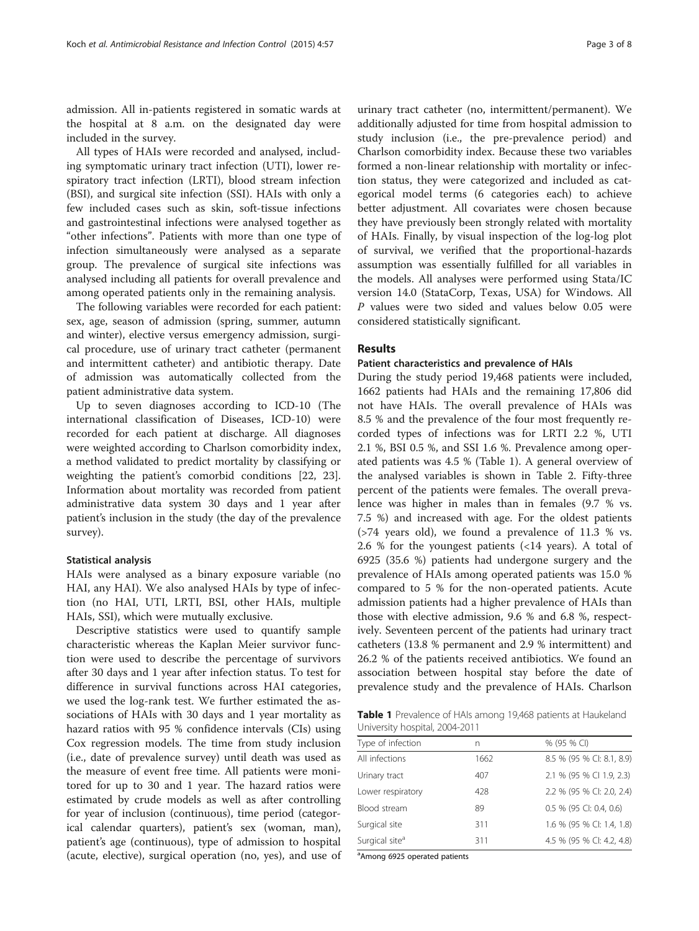admission. All in-patients registered in somatic wards at the hospital at 8 a.m. on the designated day were included in the survey.

All types of HAIs were recorded and analysed, including symptomatic urinary tract infection (UTI), lower respiratory tract infection (LRTI), blood stream infection (BSI), and surgical site infection (SSI). HAIs with only a few included cases such as skin, soft-tissue infections and gastrointestinal infections were analysed together as "other infections". Patients with more than one type of infection simultaneously were analysed as a separate group. The prevalence of surgical site infections was analysed including all patients for overall prevalence and among operated patients only in the remaining analysis.

The following variables were recorded for each patient: sex, age, season of admission (spring, summer, autumn and winter), elective versus emergency admission, surgical procedure, use of urinary tract catheter (permanent and intermittent catheter) and antibiotic therapy. Date of admission was automatically collected from the patient administrative data system.

Up to seven diagnoses according to ICD-10 (The international classification of Diseases, ICD-10) were recorded for each patient at discharge. All diagnoses were weighted according to Charlson comorbidity index, a method validated to predict mortality by classifying or weighting the patient's comorbid conditions [[22](#page-7-0), [23](#page-7-0)]. Information about mortality was recorded from patient administrative data system 30 days and 1 year after patient's inclusion in the study (the day of the prevalence survey).

#### Statistical analysis

HAIs were analysed as a binary exposure variable (no HAI, any HAI). We also analysed HAIs by type of infection (no HAI, UTI, LRTI, BSI, other HAIs, multiple HAIs, SSI), which were mutually exclusive.

Descriptive statistics were used to quantify sample characteristic whereas the Kaplan Meier survivor function were used to describe the percentage of survivors after 30 days and 1 year after infection status. To test for difference in survival functions across HAI categories, we used the log-rank test. We further estimated the associations of HAIs with 30 days and 1 year mortality as hazard ratios with 95 % confidence intervals (CIs) using Cox regression models. The time from study inclusion (i.e., date of prevalence survey) until death was used as the measure of event free time. All patients were monitored for up to 30 and 1 year. The hazard ratios were estimated by crude models as well as after controlling for year of inclusion (continuous), time period (categorical calendar quarters), patient's sex (woman, man), patient's age (continuous), type of admission to hospital (acute, elective), surgical operation (no, yes), and use of

urinary tract catheter (no, intermittent/permanent). We additionally adjusted for time from hospital admission to study inclusion (i.e., the pre-prevalence period) and Charlson comorbidity index. Because these two variables formed a non-linear relationship with mortality or infection status, they were categorized and included as categorical model terms (6 categories each) to achieve better adjustment. All covariates were chosen because they have previously been strongly related with mortality of HAIs. Finally, by visual inspection of the log-log plot of survival, we verified that the proportional-hazards assumption was essentially fulfilled for all variables in the models. All analyses were performed using Stata/IC version 14.0 (StataCorp, Texas, USA) for Windows. All P values were two sided and values below 0.05 were considered statistically significant.

#### Results

#### Patient characteristics and prevalence of HAIs

During the study period 19,468 patients were included, 1662 patients had HAIs and the remaining 17,806 did not have HAIs. The overall prevalence of HAIs was 8.5 % and the prevalence of the four most frequently recorded types of infections was for LRTI 2.2 %, UTI 2.1 %, BSI 0.5 %, and SSI 1.6 %. Prevalence among operated patients was 4.5 % (Table 1). A general overview of the analysed variables is shown in Table [2.](#page-3-0) Fifty-three percent of the patients were females. The overall prevalence was higher in males than in females (9.7 % vs. 7.5 %) and increased with age. For the oldest patients (>74 years old), we found a prevalence of 11.3 % vs. 2.6 % for the youngest patients (<14 years). A total of 6925 (35.6 %) patients had undergone surgery and the prevalence of HAIs among operated patients was 15.0 % compared to 5 % for the non-operated patients. Acute admission patients had a higher prevalence of HAIs than those with elective admission, 9.6 % and 6.8 %, respectively. Seventeen percent of the patients had urinary tract catheters (13.8 % permanent and 2.9 % intermittent) and 26.2 % of the patients received antibiotics. We found an association between hospital stay before the date of prevalence study and the prevalence of HAIs. Charlson

Table 1 Prevalence of HAIs among 19,468 patients at Haukeland University hospital, 2004-2011

| Type of infection          | n    | % (95 % CI)               |
|----------------------------|------|---------------------------|
| All infections             | 1662 | 8.5 % (95 % CI: 8.1, 8.9) |
| Urinary tract              | 407  | 2.1 % (95 % CI 1.9, 2.3)  |
| Lower respiratory          | 428  | 2.2 % (95 % CI: 2.0, 2.4) |
| Blood stream               | 89   | 0.5 % (95 CI: 0.4, 0.6)   |
| Surgical site              | 311  | 1.6 % (95 % CI: 1.4, 1.8) |
| Surgical site <sup>a</sup> | 311  | 4.5 % (95 % CI: 4.2, 4.8) |
|                            |      |                           |

<sup>a</sup> Among 6925 operated patients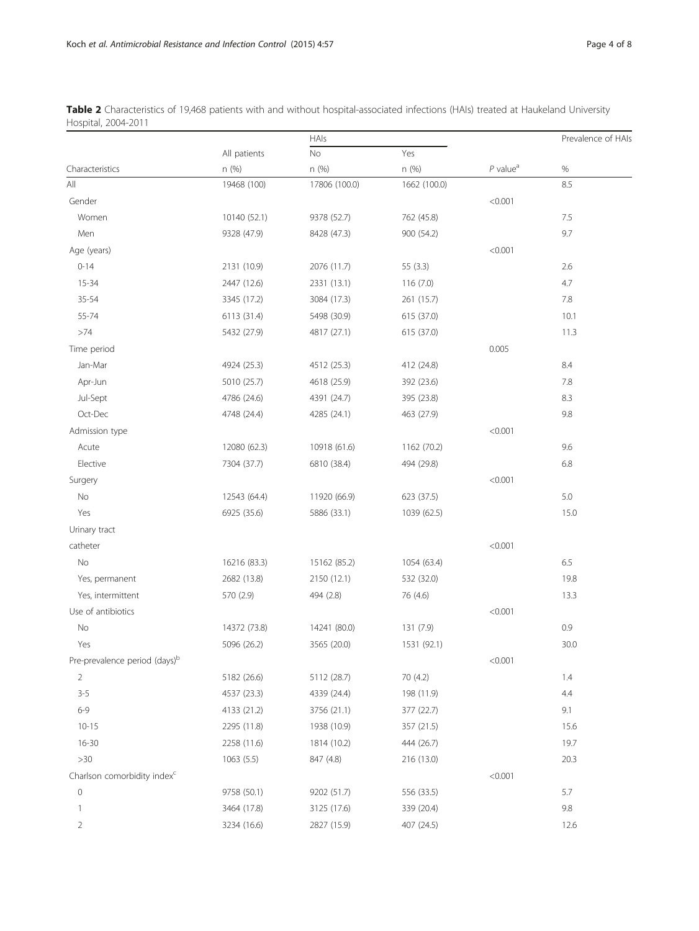|                                           |              | HAIs          |              |                        | Prevalence of HAIs |
|-------------------------------------------|--------------|---------------|--------------|------------------------|--------------------|
|                                           | All patients | $\rm No$      | Yes          |                        |                    |
| Characteristics                           | n (%)        | n (%)         | n (%)        | $P$ value <sup>a</sup> | $\%$               |
| All                                       | 19468 (100)  | 17806 (100.0) | 1662 (100.0) |                        | 8.5                |
| Gender                                    |              |               |              | < 0.001                |                    |
| Women                                     | 10140 (52.1) | 9378 (52.7)   | 762 (45.8)   |                        | 7.5                |
| Men                                       | 9328 (47.9)  | 8428 (47.3)   | 900 (54.2)   |                        | 9.7                |
| Age (years)                               |              |               |              | < 0.001                |                    |
| $0 - 14$                                  | 2131 (10.9)  | 2076 (11.7)   | 55 (3.3)     |                        | 2.6                |
| $15 - 34$                                 | 2447 (12.6)  | 2331 (13.1)   | 116(7.0)     |                        | 4.7                |
| 35-54                                     | 3345 (17.2)  | 3084 (17.3)   | 261 (15.7)   |                        | 7.8                |
| 55-74                                     | 6113 (31.4)  | 5498 (30.9)   | 615 (37.0)   |                        | 10.1               |
| >74                                       | 5432 (27.9)  | 4817 (27.1)   | 615 (37.0)   |                        | 11.3               |
| Time period                               |              |               |              | 0.005                  |                    |
| Jan-Mar                                   | 4924 (25.3)  | 4512 (25.3)   | 412 (24.8)   |                        | 8.4                |
| Apr-Jun                                   | 5010 (25.7)  | 4618 (25.9)   | 392 (23.6)   |                        | $7.8\,$            |
| Jul-Sept                                  | 4786 (24.6)  | 4391 (24.7)   | 395 (23.8)   |                        | 8.3                |
| Oct-Dec                                   | 4748 (24.4)  | 4285 (24.1)   | 463 (27.9)   |                        | 9.8                |
| Admission type                            |              |               |              | < 0.001                |                    |
| Acute                                     | 12080 (62.3) | 10918 (61.6)  | 1162 (70.2)  |                        | 9.6                |
| Elective                                  | 7304 (37.7)  | 6810 (38.4)   | 494 (29.8)   |                        | 6.8                |
| Surgery                                   |              |               |              | < 0.001                |                    |
| No                                        | 12543 (64.4) | 11920 (66.9)  | 623 (37.5)   |                        | 5.0                |
| Yes                                       | 6925 (35.6)  | 5886 (33.1)   | 1039 (62.5)  |                        | 15.0               |
| Urinary tract                             |              |               |              |                        |                    |
| catheter                                  |              |               |              | < 0.001                |                    |
| No                                        | 16216 (83.3) | 15162 (85.2)  | 1054 (63.4)  |                        | 6.5                |
| Yes, permanent                            | 2682 (13.8)  | 2150 (12.1)   | 532 (32.0)   |                        | 19.8               |
| Yes, intermittent                         | 570 (2.9)    | 494 (2.8)     | 76 (4.6)     |                        | 13.3               |
| Use of antibiotics                        |              |               |              | < 0.001                |                    |
| No                                        | 14372 (73.8) | 14241 (80.0)  | 131 (7.9)    |                        | 0.9                |
| Yes                                       | 5096 (26.2)  | 3565 (20.0)   | 1531 (92.1)  |                        | 30.0               |
| Pre-prevalence period (days) <sup>b</sup> |              |               |              | < 0.001                |                    |
| $\overline{2}$                            | 5182 (26.6)  | 5112 (28.7)   | 70 (4.2)     |                        | 1.4                |
| $3 - 5$                                   | 4537 (23.3)  | 4339 (24.4)   | 198 (11.9)   |                        | 4.4                |
| $6 - 9$                                   | 4133 (21.2)  | 3756 (21.1)   | 377 (22.7)   |                        | 9.1                |
| $10 - 15$                                 | 2295 (11.8)  | 1938 (10.9)   | 357 (21.5)   |                        | 15.6               |
| $16 - 30$                                 | 2258 (11.6)  | 1814 (10.2)   | 444 (26.7)   |                        | 19.7               |
| >30                                       | 1063(5.5)    | 847 (4.8)     | 216 (13.0)   |                        | 20.3               |
| Charlson comorbidity index <sup>c</sup>   |              |               |              | < 0.001                |                    |
| $\mathsf{O}\xspace$                       | 9758 (50.1)  | 9202 (51.7)   | 556 (33.5)   |                        | 5.7                |
| 1                                         | 3464 (17.8)  | 3125 (17.6)   | 339 (20.4)   |                        | 9.8                |
| $\overline{2}$                            | 3234 (16.6)  | 2827 (15.9)   | 407 (24.5)   |                        | 12.6               |

<span id="page-3-0"></span>Table 2 Characteristics of 19,468 patients with and without hospital-associated infections (HAIs) treated at Haukeland University Hospital, 2004-2011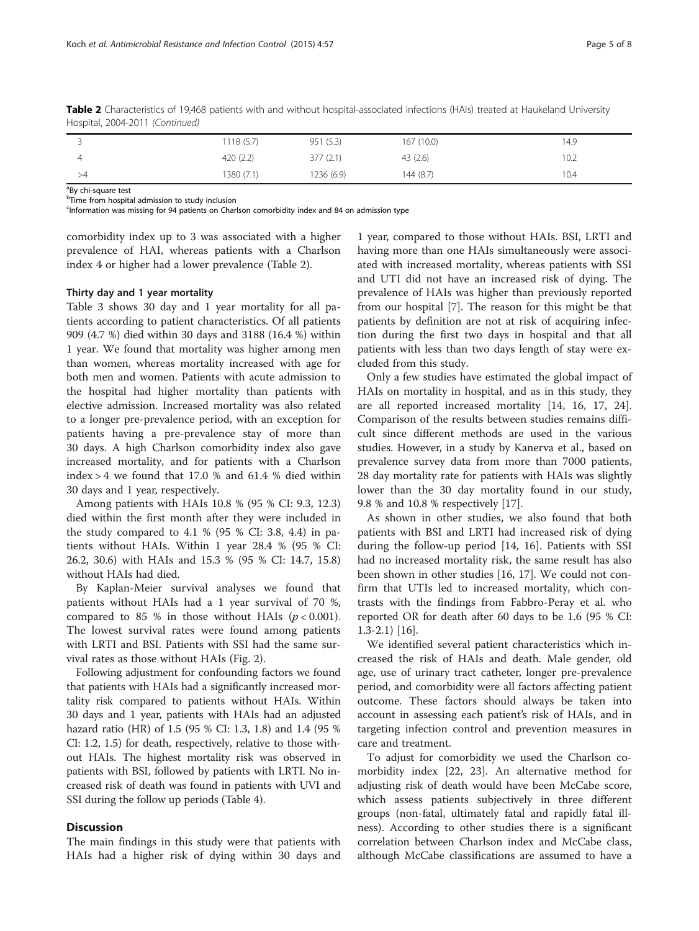|    | 1118 (5.7) | 951 (5.3)  | 167(10.0) | 14.9 |
|----|------------|------------|-----------|------|
|    | 420 (2.2)  | 377(2.1)   | 43(2.6)   | 10.2 |
| >4 | 1380 (7.1) | 1236 (6.9) | 144 (8.7) | 10.4 |

Table 2 Characteristics of 19,468 patients with and without hospital-associated infections (HAIs) treated at Haukeland University Hospital, 2004-2011 (Continued)

<sup>a</sup>By chi-square test

<sup>b</sup>Time from hospital admission to study inclusion

Information was missing for 94 patients on Charlson comorbidity index and 84 on admission type

comorbidity index up to 3 was associated with a higher prevalence of HAI, whereas patients with a Charlson index 4 or higher had a lower prevalence (Table [2\)](#page-3-0).

#### Thirty day and 1 year mortality

Table [3](#page-5-0) shows 30 day and 1 year mortality for all patients according to patient characteristics. Of all patients 909 (4.7 %) died within 30 days and 3188 (16.4 %) within 1 year. We found that mortality was higher among men than women, whereas mortality increased with age for both men and women. Patients with acute admission to the hospital had higher mortality than patients with elective admission. Increased mortality was also related to a longer pre-prevalence period, with an exception for patients having a pre-prevalence stay of more than 30 days. A high Charlson comorbidity index also gave increased mortality, and for patients with a Charlson index > 4 we found that 17.0 % and 61.4 % died within 30 days and 1 year, respectively.

Among patients with HAIs 10.8 % (95 % CI: 9.3, 12.3) died within the first month after they were included in the study compared to 4.1 % (95 % CI: 3.8, 4.4) in patients without HAIs. Within 1 year 28.4 % (95 % CI: 26.2, 30.6) with HAIs and 15.3 % (95 % CI: 14.7, 15.8) without HAIs had died.

By Kaplan-Meier survival analyses we found that patients without HAIs had a 1 year survival of 70 %, compared to 85 % in those without HAIs  $(p < 0.001)$ . The lowest survival rates were found among patients with LRTI and BSI. Patients with SSI had the same survival rates as those without HAIs (Fig. [2](#page-5-0)).

Following adjustment for confounding factors we found that patients with HAIs had a significantly increased mortality risk compared to patients without HAIs. Within 30 days and 1 year, patients with HAIs had an adjusted hazard ratio (HR) of 1.5 (95 % CI: 1.3, 1.8) and 1.4 (95 % CI: 1.2, 1.5) for death, respectively, relative to those without HAIs. The highest mortality risk was observed in patients with BSI, followed by patients with LRTI. No increased risk of death was found in patients with UVI and SSI during the follow up periods (Table [4](#page-6-0)).

#### **Discussion**

The main findings in this study were that patients with HAIs had a higher risk of dying within 30 days and

1 year, compared to those without HAIs. BSI, LRTI and having more than one HAIs simultaneously were associated with increased mortality, whereas patients with SSI and UTI did not have an increased risk of dying. The prevalence of HAIs was higher than previously reported from our hospital [[7](#page-6-0)]. The reason for this might be that patients by definition are not at risk of acquiring infection during the first two days in hospital and that all patients with less than two days length of stay were excluded from this study.

Only a few studies have estimated the global impact of HAIs on mortality in hospital, and as in this study, they are all reported increased mortality [[14, 16, 17](#page-7-0), [24](#page-7-0)]. Comparison of the results between studies remains difficult since different methods are used in the various studies. However, in a study by Kanerva et al., based on prevalence survey data from more than 7000 patients, 28 day mortality rate for patients with HAIs was slightly lower than the 30 day mortality found in our study, 9.8 % and 10.8 % respectively [[17](#page-7-0)].

As shown in other studies, we also found that both patients with BSI and LRTI had increased risk of dying during the follow-up period [\[14](#page-7-0), [16\]](#page-7-0). Patients with SSI had no increased mortality risk, the same result has also been shown in other studies [[16, 17\]](#page-7-0). We could not confirm that UTIs led to increased mortality, which contrasts with the findings from Fabbro-Peray et al. who reported OR for death after 60 days to be 1.6 (95 % CI: 1.3-2.1) [[16](#page-7-0)].

We identified several patient characteristics which increased the risk of HAIs and death. Male gender, old age, use of urinary tract catheter, longer pre-prevalence period, and comorbidity were all factors affecting patient outcome. These factors should always be taken into account in assessing each patient's risk of HAIs, and in targeting infection control and prevention measures in care and treatment.

To adjust for comorbidity we used the Charlson comorbidity index [[22](#page-7-0), [23\]](#page-7-0). An alternative method for adjusting risk of death would have been McCabe score, which assess patients subjectively in three different groups (non-fatal, ultimately fatal and rapidly fatal illness). According to other studies there is a significant correlation between Charlson index and McCabe class, although McCabe classifications are assumed to have a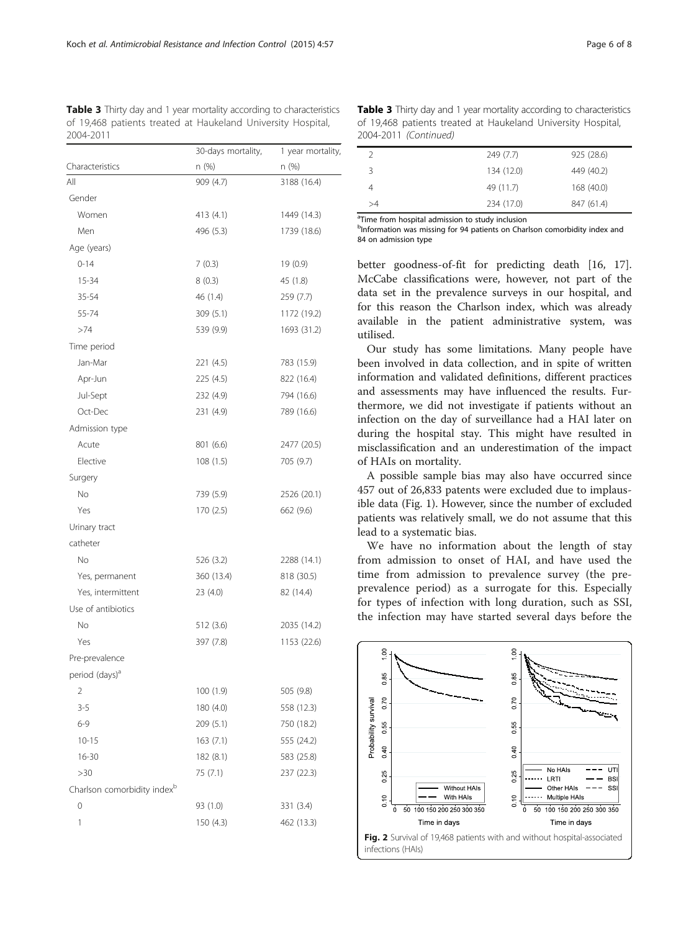<span id="page-5-0"></span>Table 3 Thirty day and 1 year mortality according to characteristics of 19,468 patients treated at Haukeland University Hospital, 2004-2011

|                                         | 30-days mortality, | 1 year mortality, |  |
|-----------------------------------------|--------------------|-------------------|--|
| Characteristics                         | n (%)              | n (%)             |  |
| All                                     | 909 (4.7)          | 3188 (16.4)       |  |
| Gender                                  |                    |                   |  |
| Women                                   | 413 (4.1)          | 1449 (14.3)       |  |
| Men                                     | 496 (5.3)          | 1739 (18.6)       |  |
| Age (years)                             |                    |                   |  |
| $0 - 14$                                | 7(0.3)             | 19 (0.9)          |  |
| 15-34                                   | 8(0.3)             | 45 (1.8)          |  |
| 35-54                                   | 46 (1.4)           | 259 (7.7)         |  |
| 55-74                                   | 309 (5.1)          | 1172 (19.2)       |  |
| >74                                     | 539 (9.9)          | 1693 (31.2)       |  |
| Time period                             |                    |                   |  |
| Jan-Mar                                 | 221 (4.5)          | 783 (15.9)        |  |
| Apr-Jun                                 | 225 (4.5)          | 822 (16.4)        |  |
| Jul-Sept                                | 232 (4.9)          | 794 (16.6)        |  |
| Oct-Dec                                 | 231 (4.9)          | 789 (16.6)        |  |
| Admission type                          |                    |                   |  |
| Acute                                   | 801 (6.6)          | 2477 (20.5)       |  |
| Elective                                | 108(1.5)           | 705 (9.7)         |  |
| Surgery                                 |                    |                   |  |
| <b>No</b>                               | 739 (5.9)          | 2526 (20.1)       |  |
| Yes                                     | 170 (2.5)          | 662 (9.6)         |  |
| Urinary tract                           |                    |                   |  |
| catheter                                |                    |                   |  |
| <b>No</b>                               | 526 (3.2)          | 2288 (14.1)       |  |
| Yes, permanent                          | 360 (13.4)         | 818 (30.5)        |  |
| Yes, intermittent                       | 23 (4.0)           | 82 (14.4)         |  |
| Use of antibiotics                      |                    |                   |  |
| No                                      | 512 (3.6)          | 2035 (14.2)       |  |
| Yes                                     | 397 (7.8)          | 1153 (22.6)       |  |
| Pre-prevalence                          |                    |                   |  |
| period (days) <sup>a</sup>              |                    |                   |  |
| 2                                       | 100(1.9)           | 505 (9.8)         |  |
| $3 - 5$                                 | 180 (4.0)          | 558 (12.3)        |  |
| $6 - 9$                                 | 209 (5.1)          | 750 (18.2)        |  |
| $10 - 15$                               | 163(7.1)           | 555 (24.2)        |  |
| $16 - 30$                               | 182 (8.1)          | 583 (25.8)        |  |
| >30                                     | 75 (7.1)           | 237 (22.3)        |  |
| Charlson comorbidity index <sup>b</sup> |                    |                   |  |
| 0                                       | 93 (1.0)           | 331 (3.4)         |  |
| 1                                       | 150(4.3)           | 462 (13.3)        |  |
|                                         |                    |                   |  |

Table 3 Thirty day and 1 year mortality according to characteristics of 19,468 patients treated at Haukeland University Hospital, 2004-2011 (Continued)

|    | 249 (7.7)  | 925 (28.6) |
|----|------------|------------|
| 3  | 134 (12.0) | 449 (40.2) |
|    | 49 (11.7)  | 168 (40.0) |
| >4 | 234 (17.0) | 847 (61.4) |

<sup>a</sup>Time from hospital admission to study inclusion

bInformation was missing for 94 patients on Charlson comorbidity index and 84 on admission type

better goodness-of-fit for predicting death [\[16](#page-7-0), [17](#page-7-0)]. McCabe classifications were, however, not part of the data set in the prevalence surveys in our hospital, and for this reason the Charlson index, which was already available in the patient administrative system, was utilised.

Our study has some limitations. Many people have been involved in data collection, and in spite of written information and validated definitions, different practices and assessments may have influenced the results. Furthermore, we did not investigate if patients without an infection on the day of surveillance had a HAI later on during the hospital stay. This might have resulted in misclassification and an underestimation of the impact of HAIs on mortality.

A possible sample bias may also have occurred since 457 out of 26,833 patents were excluded due to implausible data (Fig. [1\)](#page-1-0). However, since the number of excluded patients was relatively small, we do not assume that this lead to a systematic bias.

We have no information about the length of stay from admission to onset of HAI, and have used the time from admission to prevalence survey (the preprevalence period) as a surrogate for this. Especially for types of infection with long duration, such as SSI, the infection may have started several days before the

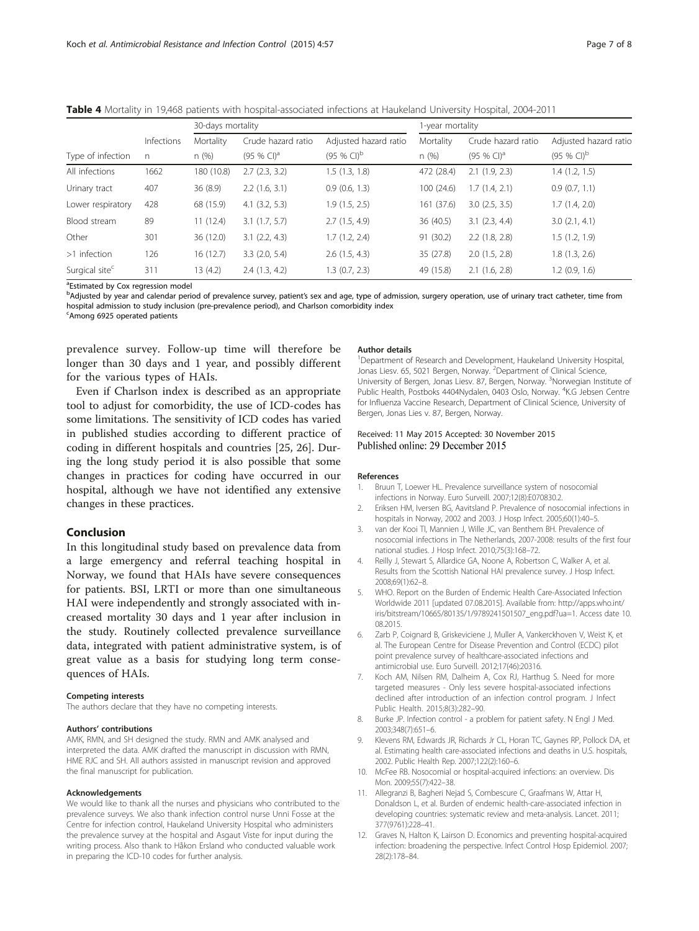|                            |              | 30-days mortality |                         |                         | 1-year mortality |                         |                       |
|----------------------------|--------------|-------------------|-------------------------|-------------------------|------------------|-------------------------|-----------------------|
|                            | Infections   | Mortality         | Crude hazard ratio      | Adjusted hazard ratio   | Mortality        | Crude hazard ratio      | Adjusted hazard ratio |
| Type of infection          | $\mathsf{n}$ | n(%)              | $(95%$ CI) <sup>a</sup> | $(95%$ CI) <sup>b</sup> | n(%)             | $(95%$ CI) <sup>a</sup> | $(95 % CI)^{b}$       |
| All infections             | 1662         | 180 (10.8)        | 2.7(2.3, 3.2)           | 1.5(1.3, 1.8)           | 472 (28.4)       | $2.1$ (1.9, 2.3)        | 1.4(1.2, 1.5)         |
| Urinary tract              | 407          | 36 (8.9)          | 2.2(1.6, 3.1)           | $0.9$ (0.6, 1.3)        | 100 (24.6)       | 1.7(1.4, 2.1)           | 0.9(0.7, 1.1)         |
| Lower respiratory          | 428          | 68 (15.9)         | $4.1$ $(3.2, 5.3)$      | 1.9(1.5, 2.5)           | 161(37.6)        | $3.0$ $(2.5, 3.5)$      | 1.7(1.4, 2.0)         |
| Blood stream               | 89           | 11(12.4)          | 3.1(1.7, 5.7)           | 2.7(1.5, 4.9)           | 36 (40.5)        | 3.1(2.3, 4.4)           | 3.0(2.1, 4.1)         |
| Other                      | 301          | 36 (12.0)         | 3.1(2.2, 4.3)           | 1.7(1.2, 2.4)           | 91 (30.2)        | $2.2$ (1.8, 2.8)        | 1.5(1.2, 1.9)         |
| >1 infection               | 126          | 16(12.7)          | 3.3(2.0, 5.4)           | $2.6$ $(1.5, 4.3)$      | 35 (27.8)        | 2.0(1.5, 2.8)           | 1.8(1.3, 2.6)         |
| Surgical site <sup>c</sup> | 311          | 13(4.2)           | 2.4(1.3, 4.2)           | 1.3(0.7, 2.3)           | 49 (15.8)        | $2.1$ (1.6, 2.8)        | $1.2$ (0.9, 1.6)      |

<span id="page-6-0"></span>Table 4 Mortality in 19,468 patients with hospital-associated infections at Haukeland University Hospital, 2004-2011

<sup>a</sup>Estimated by Cox regression model

b<br>Adjusted by year and calendar period of prevalence survey, patient's sex and age, type of admission, surgery operation, use of urinary tract catheter, time from hospital admission to study inclusion (pre-prevalence period), and Charlson comorbidity index

<sup>c</sup>Among 6925 operated patients

prevalence survey. Follow-up time will therefore be longer than 30 days and 1 year, and possibly different for the various types of HAIs.

Even if Charlson index is described as an appropriate tool to adjust for comorbidity, the use of ICD-codes has some limitations. The sensitivity of ICD codes has varied in published studies according to different practice of coding in different hospitals and countries [[25](#page-7-0), [26\]](#page-7-0). During the long study period it is also possible that some changes in practices for coding have occurred in our hospital, although we have not identified any extensive changes in these practices.

#### Conclusion

In this longitudinal study based on prevalence data from a large emergency and referral teaching hospital in Norway, we found that HAIs have severe consequences for patients. BSI, LRTI or more than one simultaneous HAI were independently and strongly associated with increased mortality 30 days and 1 year after inclusion in the study. Routinely collected prevalence surveillance data, integrated with patient administrative system, is of great value as a basis for studying long term consequences of HAIs.

#### Competing interests

The authors declare that they have no competing interests.

#### Authors' contributions

AMK, RMN, and SH designed the study. RMN and AMK analysed and interpreted the data. AMK drafted the manuscript in discussion with RMN, HME RJC and SH. All authors assisted in manuscript revision and approved the final manuscript for publication.

#### Acknowledgements

We would like to thank all the nurses and physicians who contributed to the prevalence surveys. We also thank infection control nurse Unni Fosse at the Centre for infection control, Haukeland University Hospital who administers the prevalence survey at the hospital and Asgaut Viste for input during the writing process. Also thank to Håkon Ersland who conducted valuable work in preparing the ICD-10 codes for further analysis.

#### Author details

<sup>1</sup>Department of Research and Development, Haukeland University Hospital, Jonas Liesv. 65, 5021 Bergen, Norway. <sup>2</sup>Department of Clinical Science, University of Bergen, Jonas Liesv. 87, Bergen, Norway. <sup>3</sup>Norwegian Institute of Public Health, Postboks 4404Nydalen, 0403 Oslo, Norway. <sup>4</sup>K.G Jebsen Centre for Influenza Vaccine Research, Department of Clinical Science, University of Bergen, Jonas Lies v. 87, Bergen, Norway.

#### Received: 11 May 2015 Accepted: 30 November 2015 Published online: 29 December 2015

#### References

- 1. Bruun T, Loewer HL. Prevalence surveillance system of nosocomial infections in Norway. Euro Surveill. 2007;12(8):E070830.2.
- 2. Eriksen HM, Iversen BG, Aavitsland P. Prevalence of nosocomial infections in hospitals in Norway, 2002 and 2003. J Hosp Infect. 2005;60(1):40–5.
- 3. van der Kooi TI, Mannien J, Wille JC, van Benthem BH. Prevalence of nosocomial infections in The Netherlands, 2007-2008: results of the first four national studies. J Hosp Infect. 2010;75(3):168–72.
- 4. Reilly J, Stewart S, Allardice GA, Noone A, Robertson C, Walker A, et al. Results from the Scottish National HAI prevalence survey. J Hosp Infect. 2008;69(1):62–8.
- 5. WHO. Report on the Burden of Endemic Health Care-Associated Infection Worldwide 2011 [updated 07.08.2015]. Available from: [http://apps.who.int/](http://apps.who.int/iris/bitstream/10665/80135/1/9789241501507_eng.pdf?ua=1) [iris/bitstream/10665/80135/1/9789241501507\\_eng.pdf?ua=1.](http://apps.who.int/iris/bitstream/10665/80135/1/9789241501507_eng.pdf?ua=1) Access date 10. 08.2015.
- 6. Zarb P, Coignard B, Griskeviciene J, Muller A, Vankerckhoven V, Weist K, et al. The European Centre for Disease Prevention and Control (ECDC) pilot point prevalence survey of healthcare-associated infections and antimicrobial use. Euro Surveill. 2012;17(46):20316.
- 7. Koch AM, Nilsen RM, Dalheim A, Cox RJ, Harthug S. Need for more targeted measures - Only less severe hospital-associated infections declined after introduction of an infection control program. J Infect Public Health. 2015;8(3):282–90.
- 8. Burke JP. Infection control a problem for patient safety. N Engl J Med. 2003;348(7):651–6.
- 9. Klevens RM, Edwards JR, Richards Jr CL, Horan TC, Gaynes RP, Pollock DA, et al. Estimating health care-associated infections and deaths in U.S. hospitals, 2002. Public Health Rep. 2007;122(2):160–6.
- 10. McFee RB. Nosocomial or hospital-acquired infections: an overview. Dis Mon. 2009;55(7):422–38.
- 11. Allegranzi B, Bagheri Nejad S, Combescure C, Graafmans W, Attar H, Donaldson L, et al. Burden of endemic health-care-associated infection in developing countries: systematic review and meta-analysis. Lancet. 2011; 377(9761):228–41.
- 12. Graves N, Halton K, Lairson D. Economics and preventing hospital-acquired infection: broadening the perspective. Infect Control Hosp Epidemiol. 2007; 28(2):178–84.